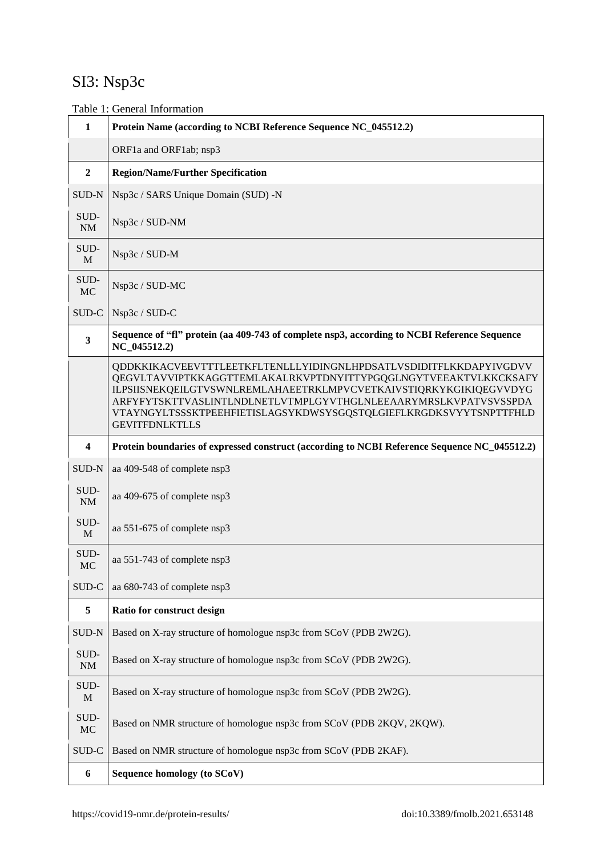# SI3: Nsp3c

Table 1: General Information

| $\mathbf{1}$            | Protein Name (according to NCBI Reference Sequence NC_045512.2)                                                                                                                                                                                                                                                                                                            |
|-------------------------|----------------------------------------------------------------------------------------------------------------------------------------------------------------------------------------------------------------------------------------------------------------------------------------------------------------------------------------------------------------------------|
|                         | ORF1a and ORF1ab; nsp3                                                                                                                                                                                                                                                                                                                                                     |
| $\boldsymbol{2}$        | <b>Region/Name/Further Specification</b>                                                                                                                                                                                                                                                                                                                                   |
| SUD-N                   | Nsp3c / SARS Unique Domain (SUD) -N                                                                                                                                                                                                                                                                                                                                        |
| SUD-<br>$\rm NM$        | Nsp3c / SUD-NM                                                                                                                                                                                                                                                                                                                                                             |
| SUD-<br>M               | Nsp3c / SUD-M                                                                                                                                                                                                                                                                                                                                                              |
| SUD-<br>MC              | Nsp3c / SUD-MC                                                                                                                                                                                                                                                                                                                                                             |
| SUD-C                   | Nsp3c / SUD-C                                                                                                                                                                                                                                                                                                                                                              |
| $\mathbf{3}$            | Sequence of "fl" protein (aa 409-743 of complete nsp3, according to NCBI Reference Sequence<br>NC 045512.2)                                                                                                                                                                                                                                                                |
|                         | QDDKKIKACVEEVTTTLEETKFLTENLLLYIDINGNLHPDSATLVSDIDITFLKKDAPYIVGDVV<br>QEGVLTAVVIPTKKAGGTTEMLAKALRKVPTDNYITTYPGQGLNGYTVEEAKTVLKKCKSAFY<br>ILPSIISNEKQEILGTVSWNLREMLAHAEETRKLMPVCVETKAIVSTIQRKYKGIKIQEGVVDYG<br>ARFYFYTSKTTVASLINTLNDLNETLVTMPLGYVTHGLNLEEAARYMRSLKVPATVSVSSPDA<br>VTAYNGYLTSSSKTPEEHFIETISLAGSYKDWSYSGQSTQLGIEFLKRGDKSVYYTSNPTTFHLD<br><b>GEVITFDNLKTLLS</b> |
| $\overline{\mathbf{4}}$ | Protein boundaries of expressed construct (according to NCBI Reference Sequence NC_045512.2)                                                                                                                                                                                                                                                                               |
| SUD-N                   | aa 409-548 of complete nsp3                                                                                                                                                                                                                                                                                                                                                |
| SUD-<br>$N\!M$          | aa 409-675 of complete nsp3                                                                                                                                                                                                                                                                                                                                                |
| SUD-<br>$\mathbf M$     | aa 551-675 of complete nsp3                                                                                                                                                                                                                                                                                                                                                |
| SUD-<br><b>MC</b>       | aa 551-743 of complete nsp3                                                                                                                                                                                                                                                                                                                                                |
| SUD-C                   | aa 680-743 of complete nsp3                                                                                                                                                                                                                                                                                                                                                |
| 5                       | Ratio for construct design                                                                                                                                                                                                                                                                                                                                                 |
| SUD-N                   | Based on X-ray structure of homologue nsp3c from SCoV (PDB 2W2G).                                                                                                                                                                                                                                                                                                          |
| SUD-<br>$\rm{NM}$       | Based on X-ray structure of homologue nsp3c from SCoV (PDB 2W2G).                                                                                                                                                                                                                                                                                                          |
| SUD-<br>$\mathbf M$     | Based on X-ray structure of homologue nsp3c from SCoV (PDB 2W2G).                                                                                                                                                                                                                                                                                                          |
| SUD-<br>$MC$            | Based on NMR structure of homologue nsp3c from SCoV (PDB 2KQV, 2KQW).                                                                                                                                                                                                                                                                                                      |
| SUD-C                   | Based on NMR structure of homologue nsp3c from SCoV (PDB 2KAF).                                                                                                                                                                                                                                                                                                            |
| 6                       | Sequence homology (to SCoV)                                                                                                                                                                                                                                                                                                                                                |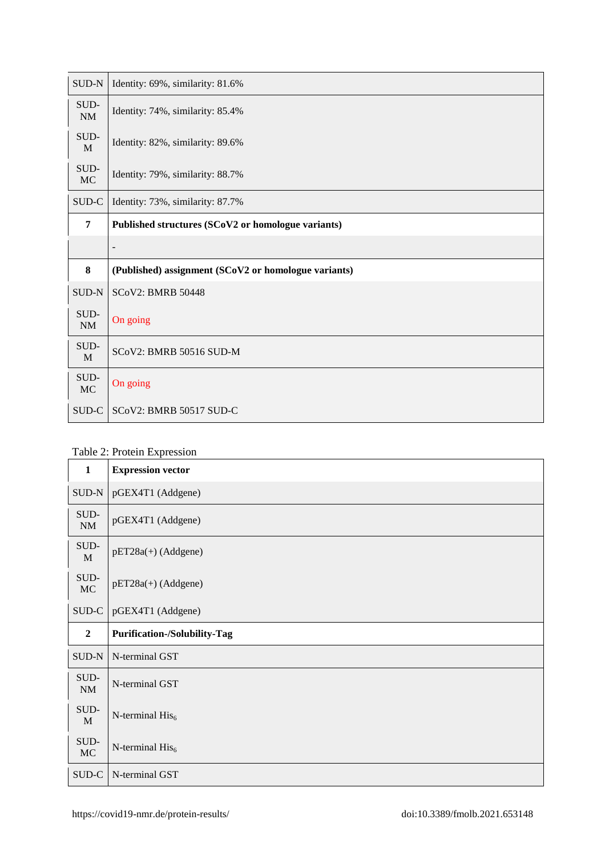| $SUB-N$                 | Identity: 69%, similarity: 81.6%                     |
|-------------------------|------------------------------------------------------|
| $\mbox{SUD-}$<br>$N\!M$ | Identity: 74%, similarity: 85.4%                     |
| SUD-<br>M               | Identity: 82%, similarity: 89.6%                     |
| SUD-<br>$\rm MC$        | Identity: 79%, similarity: 88.7%                     |
| SUD-C                   | Identity: 73%, similarity: 87.7%                     |
| 7                       | Published structures (SCoV2 or homologue variants)   |
|                         | $\overline{\phantom{a}}$                             |
|                         |                                                      |
| 8                       | (Published) assignment (SCoV2 or homologue variants) |
| SUD-N                   | <b>SCoV2: BMRB 50448</b>                             |
| SUD-<br>$\rm{NM}$       | On going                                             |
| SUD-<br>M               | SCoV2: BMRB 50516 SUD-M                              |
| SUD-<br><b>MC</b>       | On going                                             |

#### Table 2: Protein Expression

| $\mathbf{1}$                                  | <b>Expression vector</b>            |
|-----------------------------------------------|-------------------------------------|
| SUD-N                                         | pGEX4T1 (Addgene)                   |
| SUD-<br>$\rm{NM}$                             | pGEX4T1 (Addgene)                   |
| SUD-<br>$\mathbf{M}$                          | pET28a(+) (Addgene)                 |
| SUD-<br>MC                                    | $pET28a(+)$ (Addgene)               |
| $\ensuremath{\mathsf{SUD}\text{-}\mathsf{C}}$ | pGEX4T1 (Addgene)                   |
|                                               |                                     |
| $\overline{2}$                                | <b>Purification-/Solubility-Tag</b> |
| SUD-N                                         | N-terminal GST                      |
| SUD-<br>NM                                    | N-terminal GST                      |
| SUD-<br>M                                     | N-terminal $His6$                   |
| SUD-<br>MC                                    | N-terminal $His6$                   |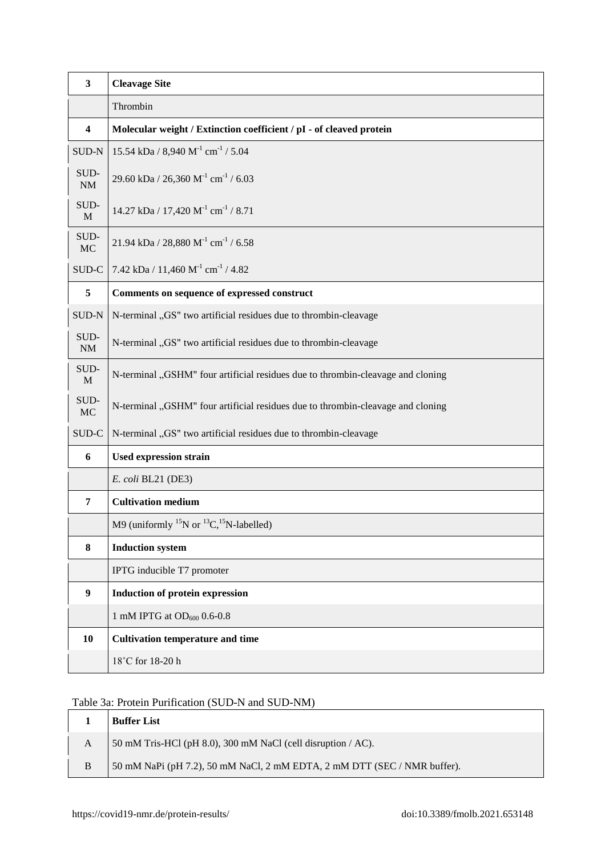| $\mathbf{3}$            | <b>Cleavage Site</b>                                                            |
|-------------------------|---------------------------------------------------------------------------------|
|                         | Thrombin                                                                        |
| $\overline{\mathbf{4}}$ | Molecular weight / Extinction coefficient / pI - of cleaved protein             |
| SUD-N                   | 15.54 kDa / 8,940 $M^{-1}$ cm <sup>-1</sup> / 5.04                              |
| SUD-<br>$\rm{NM}$       | 29.60 kDa / 26,360 M <sup>-1</sup> cm <sup>-1</sup> / 6.03                      |
| SUD-<br>$\mathbf{M}$    | 14.27 kDa / 17,420 $M^{-1}$ cm <sup>-1</sup> / 8.71                             |
| SUD-<br>$MC$            | 21.94 kDa / 28,880 M <sup>-1</sup> cm <sup>-1</sup> / 6.58                      |
| SUD-C                   | 7.42 kDa / 11,460 $M^{-1}$ cm <sup>-1</sup> / 4.82                              |
| 5                       | Comments on sequence of expressed construct                                     |
| SUD-N                   | N-terminal "GS" two artificial residues due to thrombin-cleavage                |
| SUD-<br>NM              | N-terminal "GS" two artificial residues due to thrombin-cleavage                |
| SUD-<br>$\mathbf M$     | N-terminal "GSHM" four artificial residues due to thrombin-cleavage and cloning |
| SUD-<br>$MC$            | N-terminal "GSHM" four artificial residues due to thrombin-cleavage and cloning |
| SUD-C                   | N-terminal "GS" two artificial residues due to thrombin-cleavage                |
| 6                       | <b>Used expression strain</b>                                                   |
|                         | E. coli BL21 (DE3)                                                              |
| $\overline{7}$          | <b>Cultivation medium</b>                                                       |
|                         | M9 (uniformly $^{15}N$ or $^{13}C$ , $^{15}N$ -labelled)                        |
| 8                       | <b>Induction system</b>                                                         |
|                         | IPTG inducible T7 promoter                                                      |
| $\boldsymbol{9}$        | <b>Induction of protein expression</b>                                          |
|                         | 1 mM IPTG at $OD_{600}$ 0.6-0.8                                                 |
| 10                      | <b>Cultivation temperature and time</b>                                         |
|                         | 18°C for 18-20 h                                                                |

### Table 3a: Protein Purification (SUD-N and SUD-NM)

|   | <b>Buffer List</b>                                                       |
|---|--------------------------------------------------------------------------|
| A | 50 mM Tris-HCl (pH 8.0), 300 mM NaCl (cell disruption $/$ AC).           |
| B | 50 mM NaPi (pH 7.2), 50 mM NaCl, 2 mM EDTA, 2 mM DTT (SEC / NMR buffer). |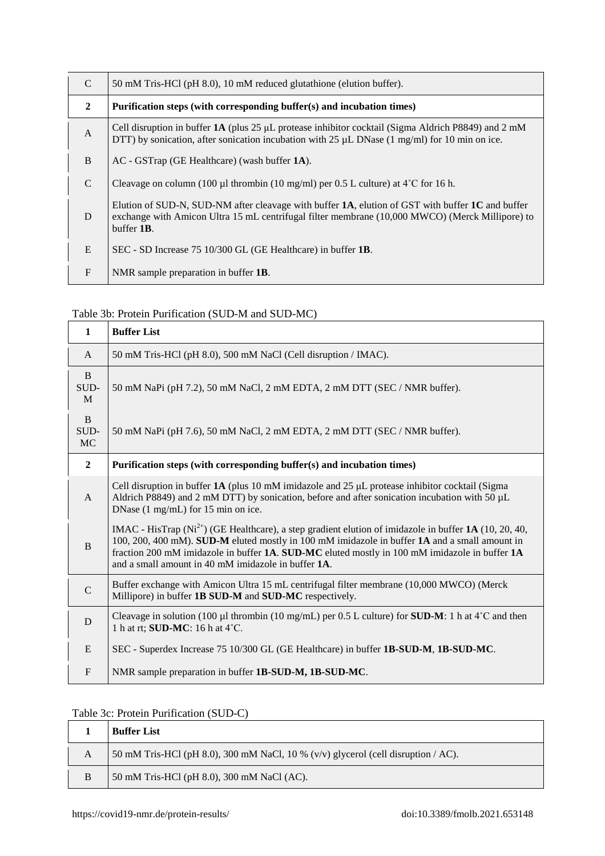| $\mathcal{C}$  | 50 mM Tris-HCl (pH 8.0), 10 mM reduced glutathione (elution buffer).                                                                                                                                                      |
|----------------|---------------------------------------------------------------------------------------------------------------------------------------------------------------------------------------------------------------------------|
| $\overline{2}$ | Purification steps (with corresponding buffer(s) and incubation times)                                                                                                                                                    |
| $\mathbf{A}$   | Cell disruption in buffer 1A (plus 25 µL protease inhibitor cocktail (Sigma Aldrich P8849) and 2 mM<br>DTT) by sonication, after sonication incubation with 25 $\mu$ L DNase (1 mg/ml) for 10 min on ice.                 |
| B              | $AC - GSTrap$ (GE Healthcare) (wash buffer $1A$ ).                                                                                                                                                                        |
| $\mathcal{C}$  | Cleavage on column (100 µl thrombin (10 mg/ml) per 0.5 L culture) at $4^{\circ}$ C for 16 h.                                                                                                                              |
| D              | Elution of SUD-N, SUD-NM after cleavage with buffer $1A$ , elution of GST with buffer $1C$ and buffer<br>exchange with Amicon Ultra 15 mL centrifugal filter membrane (10,000 MWCO) (Merck Millipore) to<br>buffer $1B$ . |
| E              | SEC - SD Increase 75 10/300 GL (GE Healthcare) in buffer 1B.                                                                                                                                                              |
| $F_{\rm}$      | NMR sample preparation in buffer 1B.                                                                                                                                                                                      |

### Table 3b: Protein Purification (SUD-M and SUD-MC)

| $\mathbf{1}$           | <b>Buffer List</b>                                                                                                                                                                                                                                                                                                                                                 |
|------------------------|--------------------------------------------------------------------------------------------------------------------------------------------------------------------------------------------------------------------------------------------------------------------------------------------------------------------------------------------------------------------|
| $\mathsf{A}$           | 50 mM Tris-HCl (pH 8.0), 500 mM NaCl (Cell disruption / IMAC).                                                                                                                                                                                                                                                                                                     |
| B<br>SUD-<br>M         | 50 mM NaPi (pH 7.2), 50 mM NaCl, 2 mM EDTA, 2 mM DTT (SEC / NMR buffer).                                                                                                                                                                                                                                                                                           |
| B<br>SUD-<br><b>MC</b> | 50 mM NaPi (pH 7.6), 50 mM NaCl, 2 mM EDTA, 2 mM DTT (SEC / NMR buffer).                                                                                                                                                                                                                                                                                           |
| $\overline{2}$         | Purification steps (with corresponding buffer(s) and incubation times)                                                                                                                                                                                                                                                                                             |
| $\mathsf{A}$           | Cell disruption in buffer 1A (plus 10 mM imidazole and 25 $\mu$ L protease inhibitor cocktail (Sigma<br>Aldrich P8849) and 2 mM DTT) by sonication, before and after sonication incubation with 50 µL<br>DNase (1 mg/mL) for 15 min on ice.                                                                                                                        |
| B                      | IMAC - HisTrap ( $Ni2+$ ) (GE Healthcare), a step gradient elution of imidazole in buffer 1A (10, 20, 40,<br>100, 200, 400 mM). SUD-M eluted mostly in 100 mM imidazole in buffer 1A and a small amount in<br>fraction 200 mM imidazole in buffer 1A. SUD-MC eluted mostly in 100 mM imidazole in buffer 1A<br>and a small amount in 40 mM imidazole in buffer 1A. |
| $\mathcal{C}$          | Buffer exchange with Amicon Ultra 15 mL centrifugal filter membrane (10,000 MWCO) (Merck<br>Millipore) in buffer 1B SUD-M and SUD-MC respectively.                                                                                                                                                                                                                 |
| D                      | Cleavage in solution (100 µl thrombin (10 mg/mL) per 0.5 L culture) for <b>SUD-M</b> : 1 h at $4^{\circ}$ C and then<br>1 h at rt; <b>SUD-MC</b> : 16 h at 4°C.                                                                                                                                                                                                    |
| E                      | SEC - Superdex Increase 75 10/300 GL (GE Healthcare) in buffer 1B-SUD-M, 1B-SUD-MC.                                                                                                                                                                                                                                                                                |
| $\mathbf{F}$           | NMR sample preparation in buffer 1B-SUD-M, 1B-SUD-MC.                                                                                                                                                                                                                                                                                                              |

### Table 3c: Protein Purification (SUD-C)

|   | <b>Buffer List</b>                                                                |
|---|-----------------------------------------------------------------------------------|
| A | 50 mM Tris-HCl (pH 8.0), 300 mM NaCl, 10 % (v/v) glycerol (cell disruption / AC). |
| B | 50 mM Tris-HCl (pH 8.0), 300 mM NaCl (AC).                                        |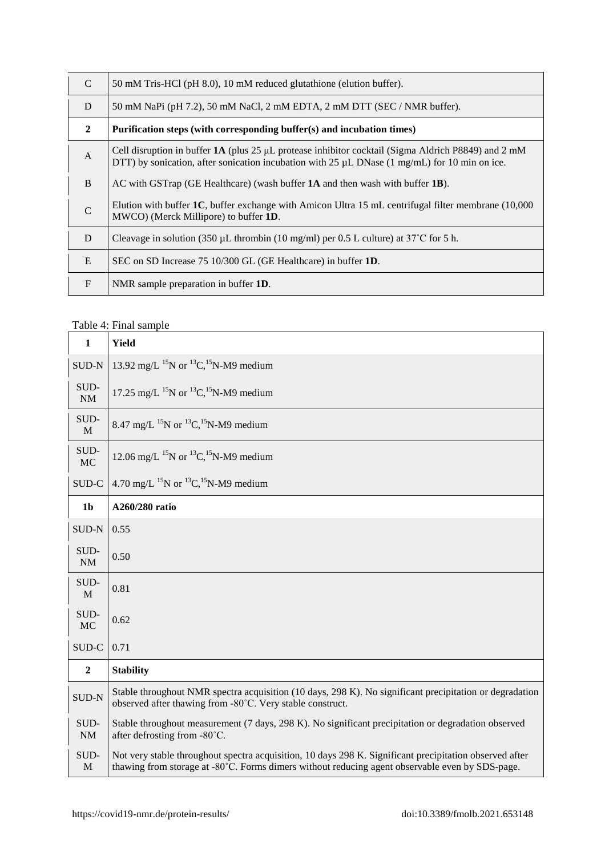| $\mathcal{C}$  | 50 mM Tris-HCl (pH 8.0), 10 mM reduced glutathione (elution buffer).                                                                                                                                        |
|----------------|-------------------------------------------------------------------------------------------------------------------------------------------------------------------------------------------------------------|
| D              | 50 mM NaPi (pH 7.2), 50 mM NaCl, 2 mM EDTA, 2 mM DTT (SEC / NMR buffer).                                                                                                                                    |
| $\overline{2}$ | Purification steps (with corresponding buffer(s) and incubation times)                                                                                                                                      |
| $\mathbf{A}$   | Cell disruption in buffer $1A$ (plus 25 µL protease inhibitor cocktail (Sigma Aldrich P8849) and 2 mM<br>DTT) by sonication, after sonication incubation with 25 $\mu$ L DNase (1 mg/mL) for 10 min on ice. |
| B              | AC with GSTrap (GE Healthcare) (wash buffer $1A$ and then wash with buffer $1B$ ).                                                                                                                          |
| $\mathcal{C}$  | Elution with buffer 1C, buffer exchange with Amicon Ultra 15 mL centrifugal filter membrane (10,000<br>MWCO) (Merck Millipore) to buffer 1D.                                                                |
| D              | Cleavage in solution (350 $\mu$ L thrombin (10 mg/ml) per 0.5 L culture) at 37°C for 5 h.                                                                                                                   |
| E              | SEC on SD Increase 75 10/300 GL (GE Healthcare) in buffer 1D.                                                                                                                                               |
| $\mathbf{F}$   | NMR sample preparation in buffer 1D.                                                                                                                                                                        |

## Table 4: Final sample

| $\mathbf{1}$      | <b>Yield</b>                                                                                                                                                                                               |
|-------------------|------------------------------------------------------------------------------------------------------------------------------------------------------------------------------------------------------------|
| SUD-N             | 13.92 mg/L <sup>15</sup> N or <sup>13</sup> C, <sup>15</sup> N-M9 medium                                                                                                                                   |
| SUD-<br>$\rm{NM}$ | 17.25 mg/L <sup>15</sup> N or <sup>13</sup> C, <sup>15</sup> N-M9 medium                                                                                                                                   |
| SUD-<br>M         | 8.47 mg/L <sup>15</sup> N or <sup>13</sup> C, <sup>15</sup> N-M9 medium                                                                                                                                    |
| SUD-<br>MC        | 12.06 mg/L <sup>15</sup> N or <sup>13</sup> C, <sup>15</sup> N-M9 medium                                                                                                                                   |
| SUD-C             | 4.70 mg/L <sup>15</sup> N or <sup>13</sup> C, <sup>15</sup> N-M9 medium                                                                                                                                    |
| 1 <sub>b</sub>    | A260/280 ratio                                                                                                                                                                                             |
| SUD-N             | 0.55                                                                                                                                                                                                       |
| SUD-<br>$\rm NM$  | 0.50                                                                                                                                                                                                       |
| SUD-<br>M         | 0.81                                                                                                                                                                                                       |
| SUD-<br>MC        | 0.62                                                                                                                                                                                                       |
| SUD-C             | 0.71                                                                                                                                                                                                       |
| $\boldsymbol{2}$  | <b>Stability</b>                                                                                                                                                                                           |
| <b>SUD-N</b>      | Stable throughout NMR spectra acquisition (10 days, 298 K). No significant precipitation or degradation<br>observed after thawing from -80°C. Very stable construct.                                       |
| SUD-<br>$\rm NM$  | Stable throughout measurement (7 days, 298 K). No significant precipitation or degradation observed<br>after defrosting from -80°C.                                                                        |
| SUD-<br>M         | Not very stable throughout spectra acquisition, 10 days 298 K. Significant precipitation observed after<br>thawing from storage at -80°C. Forms dimers without reducing agent observable even by SDS-page. |